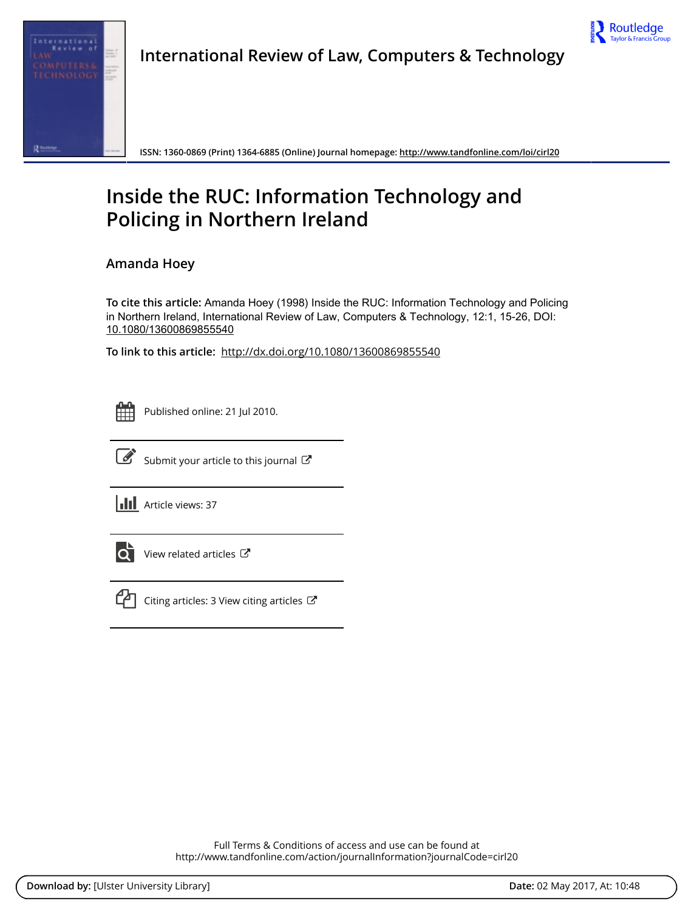

**International Review of Law, Computers & Technology**

**ISSN: 1360-0869 (Print) 1364-6885 (Online) Journal homepage:<http://www.tandfonline.com/loi/cirl20>**

# **Inside the RUC: Information Technology and Policing in Northern Ireland**

**Amanda Hoey**

International<br>Review o

R=

**To cite this article:** Amanda Hoey (1998) Inside the RUC: Information Technology and Policing in Northern Ireland, International Review of Law, Computers & Technology, 12:1, 15-26, DOI: [10.1080/13600869855540](http://www.tandfonline.com/action/showCitFormats?doi=10.1080/13600869855540)

**To link to this article:** <http://dx.doi.org/10.1080/13600869855540>

|  | - |  |
|--|---|--|
|  |   |  |
|  |   |  |
|  |   |  |

Published online: 21 Jul 2010.



 $\overrightarrow{S}$  [Submit your article to this journal](http://www.tandfonline.com/action/authorSubmission?journalCode=cirl20&show=instructions)  $\overrightarrow{S}$ 

**III** Article views: 37



 $\overline{Q}$  [View related articles](http://www.tandfonline.com/doi/mlt/10.1080/13600869855540)  $\overline{C}$ 



 $\mathbb{C}$  [Citing articles: 3 View citing articles](http://www.tandfonline.com/doi/citedby/10.1080/13600869855540#tabModule)  $\mathbb{C}$ 

Full Terms & Conditions of access and use can be found at <http://www.tandfonline.com/action/journalInformation?journalCode=cirl20>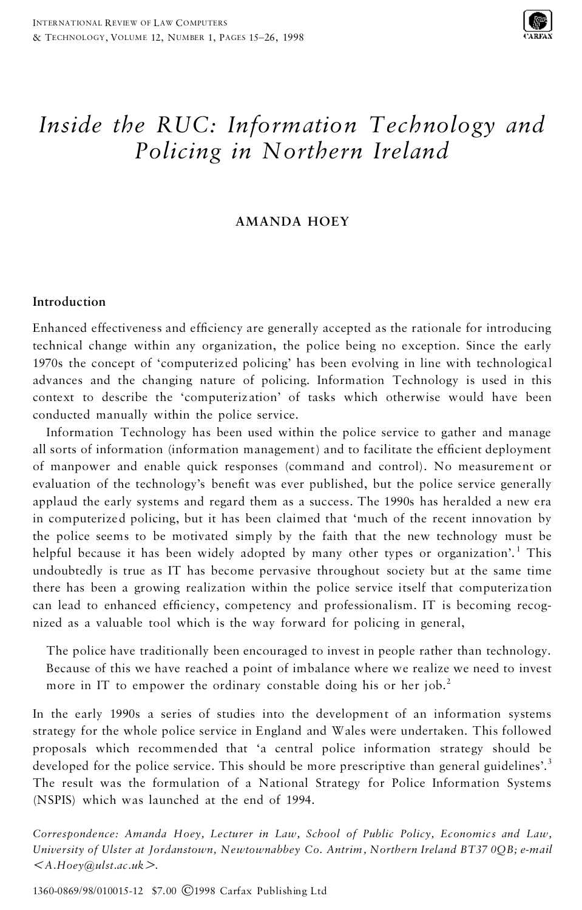

# *Inside the RUC: Information Technology and Policing in Northern Ireland*

# AMANDA HOEY

#### Introduction

Enhanced effectiveness and efficiency are generally accepted as the rationale for introducing technical change within any organization, the police being no exception. Since the early 1970s the concept of 'computeriz ed policing' has been evolving in line with technological advances and the changing nature of policing. Information Technology is used in this context to describe the 'computerization' of tasks which otherwise would have been conducted manually within the police service.

Information Technology has been used within the police service to gather and manage all sorts of information (information management) and to facilitate the efficient deployment of manpower and enable quick responses (command and control). No measurement or evaluation of the technology's benefit was ever published, but the police service generally applaud the early systems and regard them as a success. The 1990s has heralded a new era in computerized policing, but it has been claimed that 'much of the recent innovation by the police seems to be motivated simply by the faith that the new technology must be helpful because it has been widely adopted by many other types or organization'.<sup>1</sup> This undoubtedly is true as IT has become pervasive throughout society but at the same time there has been a growing realization within the police service itself that computerization can lead to enhanced efficiency, competency and professionalism. IT is becoming recognized as a valuable tool which is the way forward for policing in general,

The police have traditionally been encouraged to invest in people rather than technology. Because of this we have reached a point of imbalance where we realize we need to invest more in IT to empower the ordinary constable doing his or her job.<sup>2</sup>

In the early 1990s a series of studies into the development of an information systems strategy for the whole police service in England and Wales were undertaken. This followed proposals which recommended that 'a central police information strategy should be developed for the police service. This should be more prescriptive than general guidelines'.<sup>3</sup> The result was the formulation of a National Strategy for Police Information Systems (NSPIS) which was launched at the end of 1994.

*Correspondence: Amanda Hoey, Lecturer in Law, School of Public Policy, Economics and Law, University of Ulster at Jordanstown, Newtownabbey Co. Antrim, Northern Ireland BT37 0QB; e-mail*  $\langle A.Hoey@u|st.ac.uk\rangle$ .

1360-0869/98/010015-12 \$7.00 Ó<sup>1998</sup> Carfax Publishing Ltd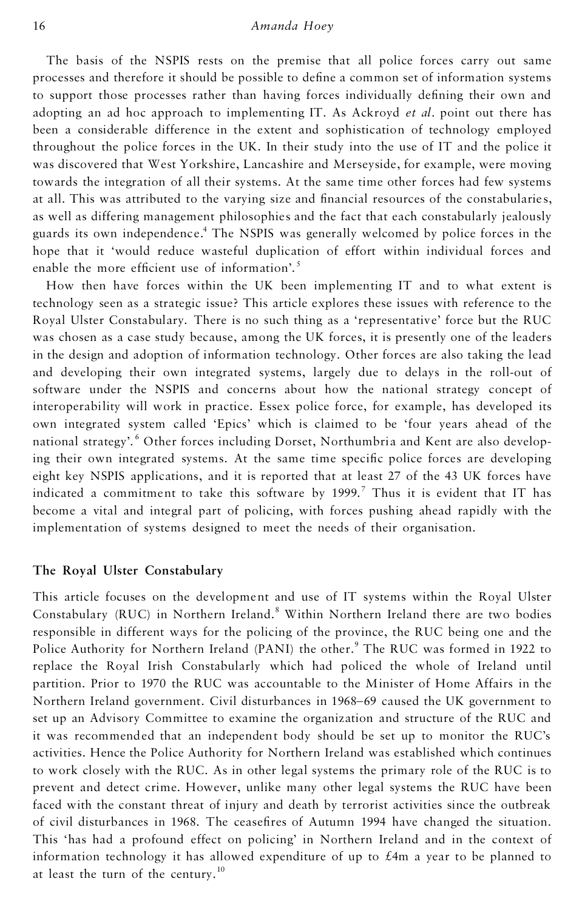The basis of the NSPIS rests on the premise that all police forces carry out same processes and therefore it should be possible to define a common set of information systems to support those processes rather than having forces individually defining their own and adopting an ad hoc approach to implementing IT. As Ackroyd *et al.* point out there has been a considerable difference in the extent and sophistication of technology employed throughout the police forces in the UK. In their study into the use of IT and the police it was discovered that West Yorkshire, Lancashire and Merseyside, for example, were moving towards the integration of all their systems. At the same time other forces had few systems at all. This was attributed to the varying size and financial resources of the constabularies, as well as differing management philosophies and the fact that each constabularly jealously guards its own independence.<sup>4</sup> The NSPIS was generally welcomed by police forces in the hope that it 'would reduce wasteful duplication of effort within individual forces and enable the more efficient use of information'.<sup>5</sup>

How then have forces within the UK been implementing IT and to what extent is technology seen as a strategic issue? This article explores these issues with reference to the Royal Ulster Constabulary. There is no such thing as a 'representative' force but the RUC was chosen as a case study because, among the UK forces, it is presently one of the leaders in the design and adoption of information technology. Other forces are also taking the lead and developing their own integrated systems, largely due to delays in the roll-out of software under the NSPIS and concerns about how the national strategy concept of interoperability will work in practice. Essex police force, for example, has developed its own integrated system called 'Epics' which is claimed to be 'four years ahead of the national strategy'. <sup>6</sup> Other forces including Dorset, Northumbria and Kent are also developing their own integrated systems. At the same time specific police forces are developing eight key NSPIS applications, and it is reported that at least 27 of the 43 UK forces have indicated a commitment to take this software by  $1999$ .<sup>7</sup> Thus it is evident that IT has become a vital and integral part of policing, with forces pushing ahead rapidly with the implementation of systems designed to meet the needs of their organisation.

#### The Royal Ulster Constabulary

This article focuses on the development and use of IT systems within the Royal Ulster Constabulary (RUC) in Northern Ireland.<sup>8</sup> Within Northern Ireland there are two bodies responsible in different ways for the policing of the province, the RUC being one and the Police Authority for Northern Ireland (PANI) the other.<sup>9</sup> The RUC was formed in 1922 to replace the Royal Irish Constabularly which had policed the whole of Ireland until partition. Prior to 1970 the RUC was accountable to the Minister of Home Affairs in the Northern Ireland government. Civil disturbances in 1968–69 caused the UK government to set up an Advisory Committee to examine the organization and structure of the RUC and it was recommended that an independent body should be set up to monitor the RUC's activities. Hence the Police Authority for Northern Ireland was established which continues to work closely with the RUC. As in other legal systems the primary role of the RUC is to prevent and detect crime. However, unlike many other legal systems the RUC have been faced with the constant threat of injury and death by terrorist activities since the outbreak of civil disturbances in 1968. The ceasefires of Autumn 1994 have changed the situation. This 'has had a profound effect on policing' in Northern Ireland and in the context of information technology it has allowed expenditure of up to  $\mathcal{L}4m$  a year to be planned to at least the turn of the century.<sup>10</sup>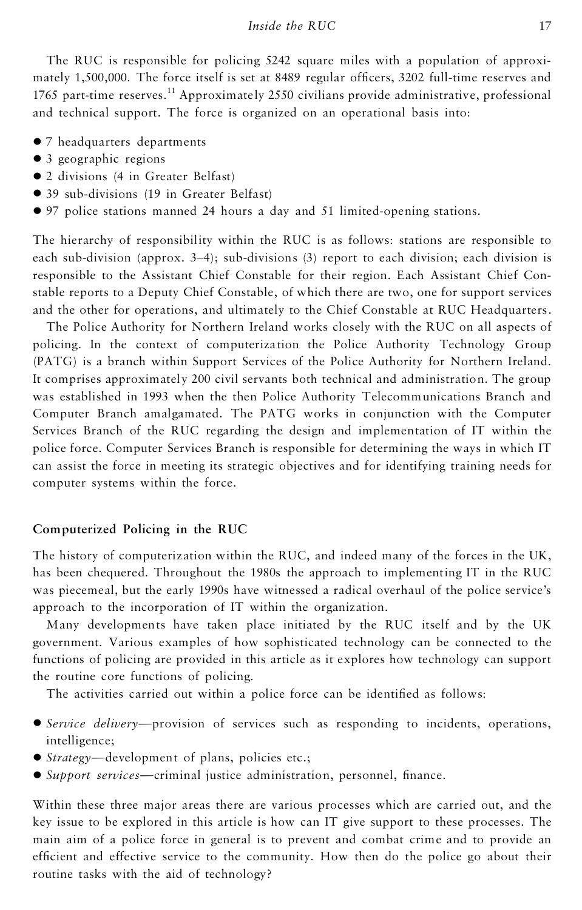The RUC is responsible for policing 5242 square miles with a population of approximately 1,500,000. The force itself is set at 8489 regular officers, 3202 full-time reserves and 1765 part-time reserves.<sup>11</sup> Approximately 2550 civilians provide administrative, professional and technical support. The force is organized on an operational basis into:

- · <sup>7</sup> headquarters departments
- 3 geographic regions
- 2 divisions (4 in Greater Belfast)
- 39 sub-divisions (19 in Greater Belfast)
- · <sup>97</sup> police stations manned <sup>24</sup> hours <sup>a</sup> day and <sup>51</sup> limited-opening stations.

The hierarchy of responsibility within the RUC is as follows: stations are responsible to each sub-division (approx. 3–4); sub-divisions (3) report to each division; each division is responsible to the Assistant Chief Constable for their region. Each Assistant Chief Constable reports to a Deputy Chief Constable, of which there are two, one for support services and the other for operations, and ultimately to the Chief Constable at RUC Headquarters.

The Police Authority for Northern Ireland works closely with the RUC on all aspects of policing. In the context of computerization the Police Authority Technology Group (PATG) is a branch within Support Services of the Police Authority for Northern Ireland. It comprises approximately 200 civil servants both technical and administration. The group was established in 1993 when the then Police Authority Telecommunications Branch and Computer Branch amalgamated. The PATG works in conjunction with the Computer Services Branch of the RUC regarding the design and implementation of IT within the police force. Computer Services Branch is responsible for determining the ways in which IT can assist the force in meeting its strategic objectives and for identifying training needs for computer systems within the force.

#### Computerized Policing in the RUC

The history of computerization within the RUC, and indeed many of the forces in the UK, has been chequered. Throughout the 1980s the approach to implementing IT in the RUC was piecemeal, but the early 1990s have witnessed a radical overhaul of the police service's approach to the incorporation of IT within the organization.

Many developments have taken place initiated by the RUC itself and by the UK government. Various examples of how sophisticated technology can be connected to the functions of policing are provided in this article as it explores how technology can support the routine core functions of policing.

The activities carried out within a police force can be identified as follows:

- · *Service delivery*—provision of services such as responding to incidents, operations, intelligence;
- · *Strategy*—development of plans, policies etc.;
- · *Support services*—criminal justice administration, personnel, nance.

Within these three major areas there are various processes which are carried out, and the key issue to be explored in this article is how can IT give support to these processes. The main aim of a police force in general is to prevent and combat crime and to provide an efficient and effective service to the community. How then do the police go about their routine tasks with the aid of technology?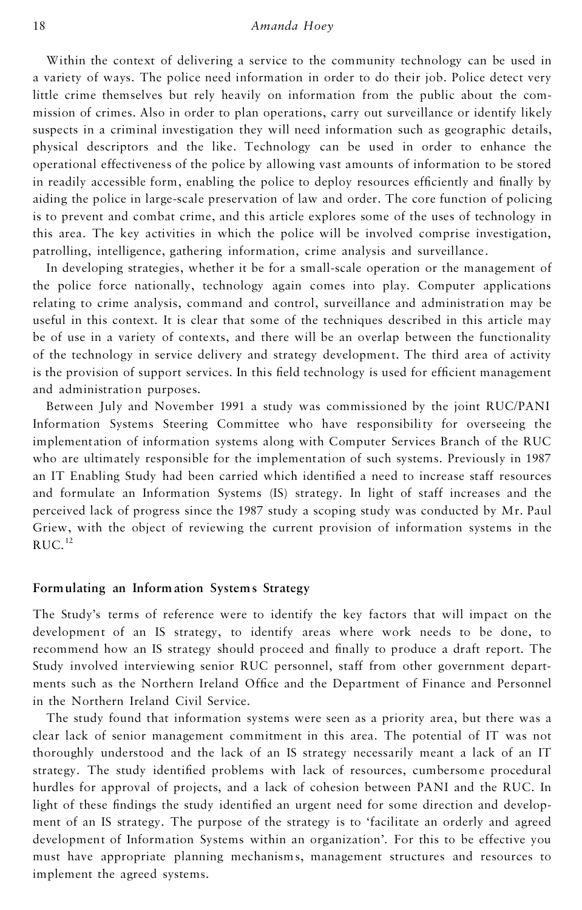#### 18 *Amanda Hoey*

Within the context of delivering a service to the community technology can be used in a variety of ways. The police need information in order to do their job. Police detect very little crime themselves but rely heavily on information from the public about the com mission of crimes. Also in order to plan operations, carry out surveillance or identify likely suspects in a criminal investigation they will need information such as geographic details, physical descriptors and the like. Technology can be used in order to enhance the operational effectiveness of the police by allowing vast amounts of information to be stored in readily accessible form, enabling the police to deploy resources efficiently and finally by aiding the police in large-scale preservation of law and order. The core function of policing is to prevent and combat crime, and this article explores some of the uses of technology in this area. The key activities in which the police will be involved comprise investigation, patrolling, intelligence, gathering information, crime analysis and surveillance .

In developing strategies, whether it be for a small-scale operation or the management of the police force nationally, technology again comes into play. Computer applications relating to crime analysis, command and control, surveillance and administration may be useful in this context. It is clear that some of the techniques described in this article may be of use in a variety of contexts, and there will be an overlap between the functionality of the technology in service delivery and strategy development. The third area of activity is the provision of support services. In this field technology is used for efficient management and administration purposes.

Between July and November 1991 a study was commissioned by the joint RUC/PANI Information Systems Steering Committee who have responsibility for overseeing the implementation of information systems along with Computer Services Branch of the RUC who are ultimately responsible for the implementation of such systems. Previously in 1987 an IT Enabling Study had been carried which identified a need to increase staff resources and formulate an Information Systems (IS) strategy. In light of staff increases and the perceived lack of progress since the 1987 study a scoping study was conducted by Mr. Paul Griew, with the object of reviewing the current provision of information systems in the  $RUC.<sup>12</sup>$ 

#### Formulating an Information Systems Strategy

The Study's terms of reference were to identify the key factors that will impact on the development of an IS strategy, to identify areas where work needs to be done, to recommend how an IS strategy should proceed and finally to produce a draft report. The Study involved interviewing senior RUC personnel, staff from other government departments such as the Northern Ireland Office and the Department of Finance and Personnel in the Northern Ireland Civil Service.

The study found that information systems were seen as a priority area, but there was a clear lack of senior management commitment in this area. The potential of IT was not thoroughly understood and the lack of an IS strategy necessarily meant a lack of an IT strategy. The study identified problems with lack of resources, cumbersome procedural hurdles for approval of projects, and a lack of cohesion between PANI and the RUC. In light of these findings the study identified an urgent need for some direction and development of an IS strategy. The purpose of the strategy is to 'facilitate an orderly and agreed development of Information Systems within an organization'. For this to be effective you must have appropriate planning mechanisms, management structures and resources to implement the agreed systems.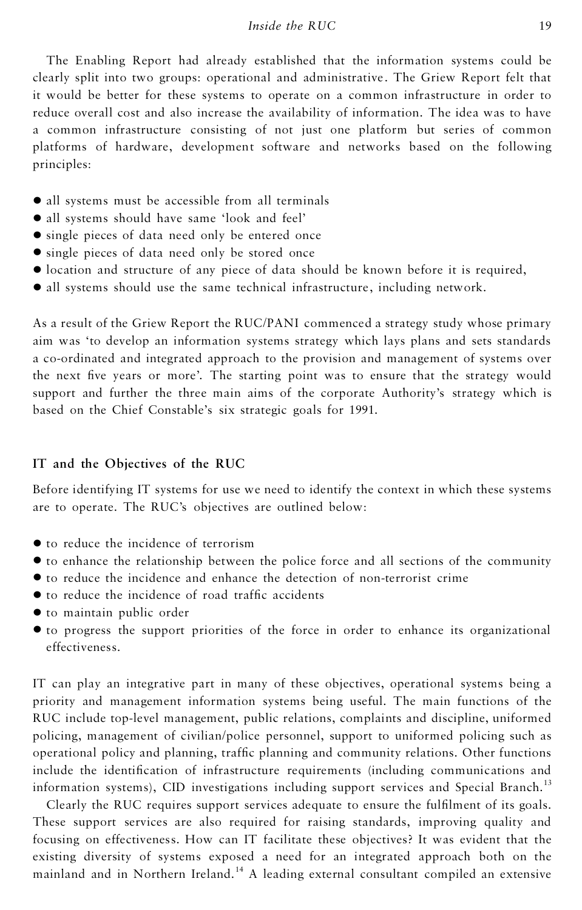The Enabling Report had already established that the information systems could be clearly split into two groups: operational and administrative . The Griew Report felt that it would be better for these systems to operate on a common infrastructure in order to reduce overall cost and also increase the availability of information. The idea was to have a common infrastructure consisting of not just one platform but series of common platforms of hardware, development software and networks based on the following principles:

- all systems must be accessible from all terminals
- all systems should have same 'look and feel'<br>• single pieces of data need only be entered once
- 
- 
- single pieces of data need only be stored once<br>• location and structure of any piece of data should be known before it is required,
- all systems should use the same technical infrastructure, including network.

As a result of the Griew Report the RUC/PANI commenced a strategy study whose primary aim was 'to develop an information systems strategy which lays plans and sets standards a co-ordinated and integrated approach to the provision and management of systems over the next five years or more'. The starting point was to ensure that the strategy would support and further the three main aims of the corporate Authority's strategy which is based on the Chief Constable's six strategic goals for 1991.

#### IT and the Objectives of the RUC

Before identifying IT systems for use we need to identify the context in which these systems are to operate. The RUC's objectives are outlined below:

- $\bullet$  to reduce the incidence of terrorism
- · to enhance the relationship between the police force and all sections of the community
- · to reduce the incidence and enhance the detection of non-terrorist crime
- $\bullet$  to reduce the incidence of road traffic accidents
- $\bullet$  to maintain public order
- · to progress the support priorities of the force in order to enhance its organizational effectiveness.

IT can play an integrative part in many of these objectives, operational systems being a priority and management information systems being useful. The main functions of the RUC include top-level management, public relations, complaints and discipline, uniformed policing, management of civilian/police personnel, support to uniformed policing such as operational policy and planning, traffic planning and community relations. Other functions include the identification of infrastructure requirements (including communications and information systems), CID investigations including support services and Special Branch.<sup>13</sup>

Clearly the RUC requires support services adequate to ensure the fulfilment of its goals. These support services are also required for raising standards, improving quality and focusing on effectiveness. How can IT facilitate these objectives? It was evident that the existing diversity of systems exposed a need for an integrated approach both on the mainland and in Northern Ireland.<sup>14</sup> A leading external consultant compiled an extensive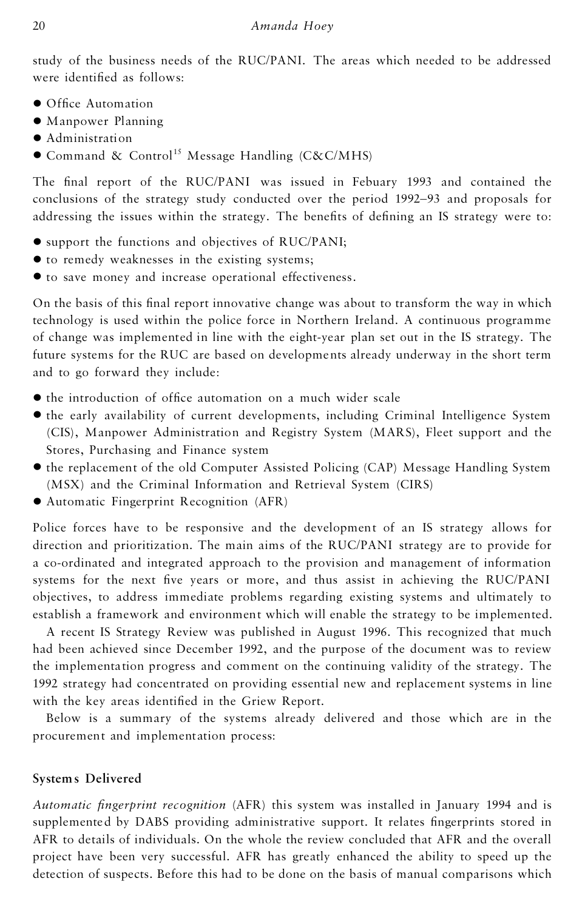study of the business needs of the RUC/PANI. The areas which needed to be addressed were identified as follows:

- Office Automation
- · Manpower Planning
- 
- Administration<br>• Command & Control<sup>15</sup> Message Handling (C&C/MHS)

The final report of the RUC/PANI was issued in Febuary 1993 and contained the conclusions of the strategy study conducted over the period 1992–93 and proposals for addressing the issues within the strategy. The benefits of defining an IS strategy were to:

- · support the functions and objectives of RUC/PANI;
- $\bullet$  to remedy weaknesses in the existing systems;
- $\bullet$  to save money and increase operational effectiveness.

On the basis of this final report innovative change was about to transform the way in which technology is used within the police force in Northern Ireland. A continuous programme of change was implemented in line with the eight-year plan set out in the IS strategy. The future systems for the RUC are based on developments already underway in the short term and to go forward they include:

- $\bullet$  the introduction of office automation on a much wider scale
- · the early availability of current developments, including Criminal Intelligence System (CIS), Manpower Administration and Registry System (MARS), Fleet support and the Stores, Purchasing and Finance system
- · the replacement of the old Computer Assisted Policing (CAP) Message Handling System (MSX) and the Criminal Information and Retrieval System (CIRS)
- Automatic Fingerprint Recognition (AFR)

Police forces have to be responsive and the development of an IS strategy allows for direction and prioritization. The main aims of the RUC/PANI strategy are to provide for a co-ordinated and integrated approach to the provision and management of information systems for the next five years or more, and thus assist in achieving the RUC/PANI objectives, to address immediate problems regarding existing systems and ultimately to establish a framework and environment which will enable the strategy to be implemented.

A recent IS Strategy Review was published in August 1996. This recognized that much had been achieved since December 1992, and the purpose of the document was to review the implementation progress and comment on the continuing validity of the strategy. The 1992 strategy had concentrated on providing essential new and replacement systems in line with the key areas identified in the Griew Report.

Below is a summary of the systems already delivered and those which are in the procurement and implementation process:

#### Systems Delivered

*Automatic ngerprint recognition* (AFR) this system was installed in January 1994 and is supplemented by DABS providing administrative support. It relates fingerprints stored in AFR to details of individuals. On the whole the review concluded that AFR and the overall project have been very successful. AFR has greatly enhanced the ability to speed up the detection of suspects. Before this had to be done on the basis of manual comparisons which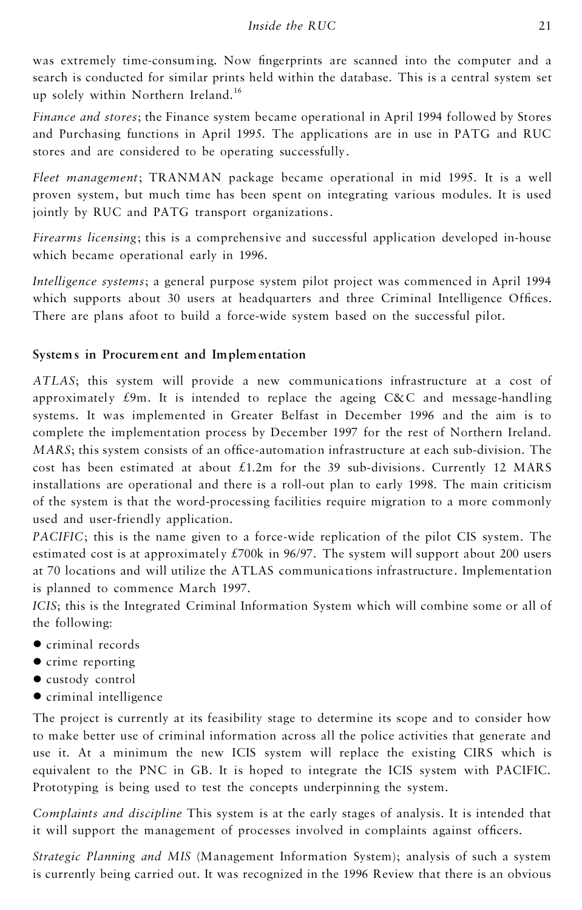was extremely time-consuming. Now fingerprints are scanned into the computer and a search is conducted for similar prints held within the database. This is a central system set up solely within Northern Ireland.<sup>16</sup>

*Finance and stores*; the Finance system became operational in April 1994 followed by Stores and Purchasing functions in April 1995. The applications are in use in PATG and RUC stores and are considered to be operating successfully.

*Fleet management*; TRANMAN package became operational in mid 1995. It is a well proven system, but much time has been spent on integrating various modules. It is used jointly by RUC and PATG transport organizations.

*Firearms licensing*; this is a comprehensive and successful application developed in-house which became operational early in 1996.

*Intelligence systems*; a general purpose system pilot project was commenced in April 1994 which supports about 30 users at headquarters and three Criminal Intelligence Offices. There are plans afoot to build a force-wide system based on the successful pilot.

# Systems in Procurement and Implementation

*ATLAS*; this system will provide a new communications infrastructure at a cost of approximately  $\pounds 9m$ . It is intended to replace the ageing C&C and message-handling systems. It was implemented in Greater Belfast in December 1996 and the aim is to complete the implementation process by December 1997 for the rest of Northern Ireland. *MARS*; this system consists of an office-automation infrastructure at each sub-division. The cost has been estimated at about  $£1.2m$  for the 39 sub-divisions. Currently 12 MARS installations are operational and there is a roll-out plan to early 1998. The main criticism of the system is that the word-processing facilities require migration to a more commonly used and user-friendly application.

*PACIFIC*; this is the name given to a force-wide replication of the pilot CIS system. The estimated cost is at approximately  $£700k$  in 96/97. The system will support about 200 users at 70 locations and will utilize the ATLAS communications infrastructure. Implementation is planned to commence March 1997.

*ICIS*; this is the Integrated Criminal Information System which will combine some or all of the following:

- $\bullet$  criminal records
- crime reporting
- $\bullet$  custody control
- criminal intelligence

The project is currently at its feasibility stage to determine its scope and to consider how to make better use of criminal information across all the police activities that generate and use it. At a minimum the new ICIS system will replace the existing CIRS which is equivalent to the PNC in GB. It is hoped to integrate the ICIS system with PACIFIC. Prototyping is being used to test the concepts underpinning the system.

*Complaints and discipline* This system is at the early stages of analysis. It is intended that it will support the management of processes involved in complaints against officers.

*Strategic Planning and MIS* (Management Information System); analysis of such a system is currently being carried out. It was recognized in the 1996 Review that there is an obvious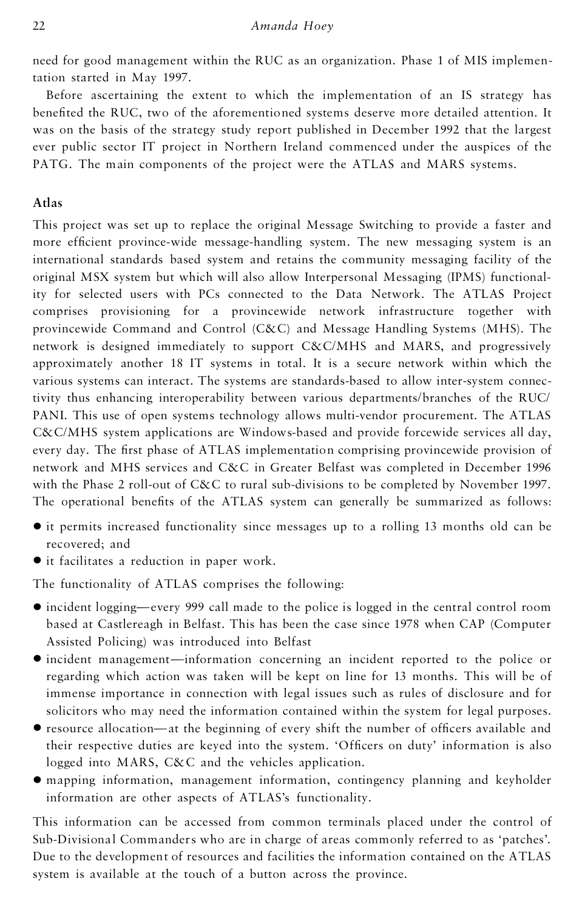need for good management within the RUC as an organization. Phase 1 of MIS implementation started in May 1997.

Before ascertaining the extent to which the implementation of an IS strategy has benefited the RUC, two of the aforementioned systems deserve more detailed attention. It was on the basis of the strategy study report published in December 1992 that the largest ever public sector IT project in Northern Ireland commenced under the auspices of the PATG. The main components of the project were the ATLAS and MARS systems.

#### Atlas

This project was set up to replace the original Message Switching to provide a faster and more efficient province-wide message-handling system. The new messaging system is an international standards based system and retains the community messaging facility of the original MSX system but which will also allow Interpersonal Messaging (IPMS) functionality for selected users with PCs connected to the Data Network. The ATLAS Project comprises provisioning for a provincewide network infrastructure together with provincewide Command and Control (C&C) and Message Handling Systems (MHS). The network is designed immediately to support C&C/MHS and MARS, and progressively approximately another 18 IT systems in total. It is a secure network within which the various systems can interact. The systems are standards-based to allow inter-system connectivity thus enhancing interoperability between various departments/branches of the RUC/ PANI. This use of open systems technology allows multi-vendor procurement. The ATLAS C&C/MHS system applications are Windows-based and provide forcewide services all day, every day. The first phase of ATLAS implementation comprising provincewide provision of network and MHS services and C&C in Greater Belfast was completed in December 1996 with the Phase 2 roll-out of C&C to rural sub-divisions to be completed by November 1997. The operational benefits of the ATLAS system can generally be summarized as follows:

- · it permits increased functionality since messages up to <sup>a</sup> rolling <sup>13</sup> months old can be recovered; and
- $\bullet$  it facilitates a reduction in paper work.

The functionality of ATLAS comprises the following:

- · incident logging—every <sup>999</sup> call made to the police is logged in the central control room based at Castlereagh in Belfast. This has been the case since 1978 when CAP (Computer Assisted Policing) was introduced into Belfast
- · incident management—information concerning an incident reported to the police or regarding which action was taken will be kept on line for 13 months. This will be of immense importance in connection with legal issues such as rules of disclosure and for solicitors who may need the information contained within the system for legal purposes.
- resource allocation—at the beginning of every shift the number of officers available and their respective duties are keyed into the system. 'Officers on duty' information is also logged into MARS, C&C and the vehicles application.
- · mapping information, management information, contingency planning and keyholder information are other aspects of ATLAS's functionality.

This information can be accessed from common terminals placed under the control of Sub-Divisional Commanders who are in charge of areas commonly referred to as 'patches'. Due to the development of resources and facilities the information contained on the ATLAS system is available at the touch of a button across the province.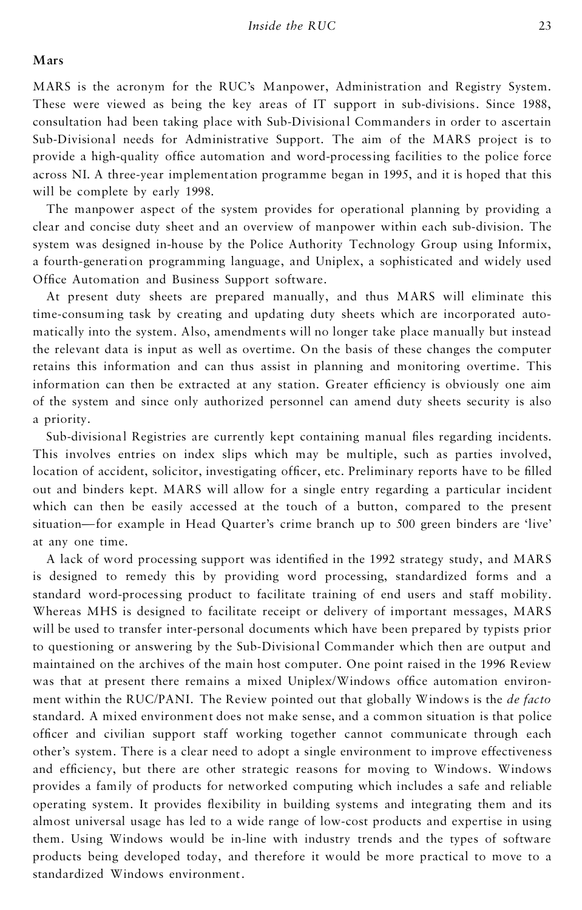#### Mars

MARS is the acronym for the RUC's Manpower, Administration and Registry System. These were viewed as being the key areas of IT support in sub-divisions. Since 1988, consultation had been taking place with Sub-Divisional Commanders in order to ascertain Sub-Divisional needs for Administrative Support. The aim of the MARS project is to provide a high-quality office automation and word-processing facilities to the police force across NI. A three-year implementation programme began in 1995, and it is hoped that this will be complete by early 1998.

The manpower aspect of the system provides for operational planning by providing a clear and concise duty sheet and an overview of manpower within each sub-division. The system was designed in-house by the Police Authority Technology Group using Informix, a fourth-generation programming language, and Uniplex, a sophisticated and widely used Office Automation and Business Support software.

At present duty sheets are prepared manually, and thus MARS will eliminate this time-consuming task by creating and updating duty sheets which are incorporated automatically into the system. Also, amendments will no longer take place manually but instead the relevant data is input as well as overtime. On the basis of these changes the computer retains this information and can thus assist in planning and monitoring overtime. This information can then be extracted at any station. Greater efficiency is obviously one aim of the system and since only authorized personnel can amend duty sheets security is also a priority.

Sub-divisional Registries are currently kept containing manual files regarding incidents. This involves entries on index slips which may be multiple, such as parties involved, location of accident, solicitor, investigating officer, etc. Preliminary reports have to be filled out and binders kept. MARS will allow for a single entry regarding a particular incident which can then be easily accessed at the touch of a button, compared to the present situation—for example in Head Quarter's crime branch up to 500 green binders are 'live' at any one time.

A lack of word processing support was identified in the 1992 strategy study, and MARS is designed to remedy this by providing word processing, standardized forms and a standard word-processing product to facilitate training of end users and staff mobility. Whereas MHS is designed to facilitate receipt or delivery of important messages, MARS will be used to transfer inter-personal documents which have been prepared by typists prior to questioning or answering by the Sub-Divisional Commander which then are output and maintained on the archives of the main host computer. One point raised in the 1996 Review was that at present there remains a mixed Uniplex/Windows office automation environment within the RUC/PANI. The Review pointed out that globally Windows is the *de facto* standard. A mixed environment does not make sense, and a common situation is that police officer and civilian support staff working together cannot communicate through each other's system. There is a clear need to adopt a single environment to improve effectiveness and efficiency, but there are other strategic reasons for moving to Windows. Windows provides a family of products for networked computing which includes a safe and reliable operating system. It provides flexibility in building systems and integrating them and its almost universal usage has led to a wide range of low-cost products and expertise in using them. Using Windows would be in-line with industry trends and the types of software products being developed today, and therefore it would be more practical to move to a standardized Windows environment.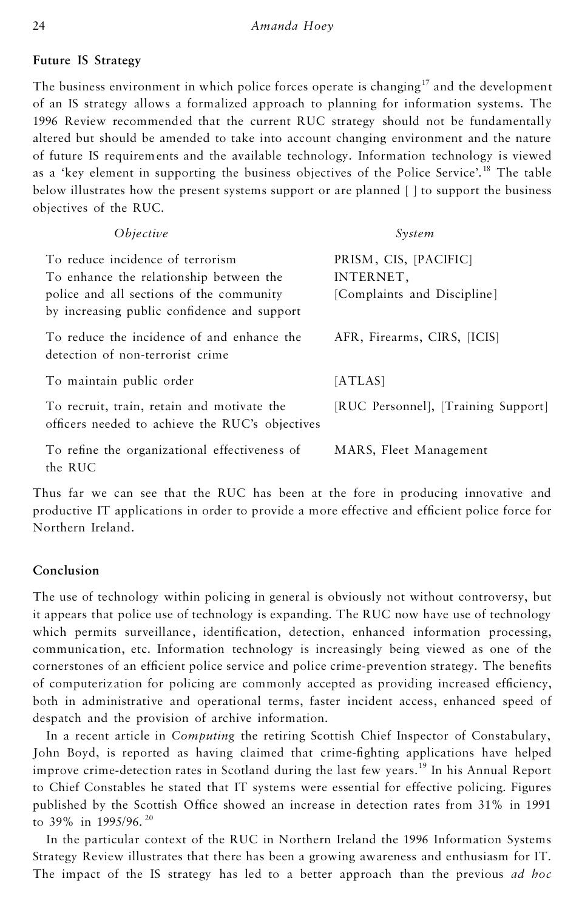## Future IS Strategy

The business environment in which police forces operate is changing<sup>17</sup> and the development of an IS strategy allows a formalized approach to planning for information systems. The 1996 Review recommended that the current RUC strategy should not be fundamentally altered but should be amended to take into account changing environment and the nature of future IS requirements and the available technology. Information technology is viewed as a 'key element in supporting the business objectives of the Police Service'. <sup>18</sup> The table below illustrates how the present systems support or are planned [] to support the business objectives of the RUC.

| Objective                                                                                                                                                              | System                                                            |
|------------------------------------------------------------------------------------------------------------------------------------------------------------------------|-------------------------------------------------------------------|
| To reduce incidence of terrorism<br>To enhance the relationship between the<br>police and all sections of the community<br>by increasing public confidence and support | PRISM, CIS, [PACIFIC]<br>INTERNET,<br>[Complaints and Discipline] |
| To reduce the incidence of and enhance the<br>detection of non-terrorist crime                                                                                         | AFR, Firearms, CIRS, [ICIS]                                       |
| To maintain public order                                                                                                                                               | [ATLAS]                                                           |
| To recruit, train, retain and motivate the<br>officers needed to achieve the RUC's objectives                                                                          | [RUC Personnel], [Training Support]                               |
| To refine the organizational effectiveness of<br>the RUC                                                                                                               | MARS, Fleet Management                                            |

Thus far we can see that the RUC has been at the fore in producing innovative and productive IT applications in order to provide a more effective and efficient police force for Northern Ireland.

#### Conclusion

The use of technology within policing in general is obviously not without controversy, but it appears that police use of technology is expanding. The RUC now have use of technology which permits surveillance, identification, detection, enhanced information processing, communication, etc. Information technology is increasingly being viewed as one of the cornerstones of an efficient police service and police crime-prevention strategy. The benefits of computerization for policing are commonly accepted as providing increased efficiency, both in administrative and operational terms, faster incident access, enhanced speed of despatch and the provision of archive information.

In a recent article in *Computing* the retiring Scottish Chief Inspector of Constabulary, John Boyd, is reported as having claimed that crime-fighting applications have helped improve crime-detection rates in Scotland during the last few years.<sup>19</sup> In his Annual Report to Chief Constables he stated that IT systems were essential for effective policing. Figures published by the Scottish Office showed an increase in detection rates from 31% in 1991 to 39% in 1995/96.<sup>20</sup>

In the particular context of the RUC in Northern Ireland the 1996 Information Systems Strategy Review illustrates that there has been a growing awareness and enthusiasm for IT. The impact of the IS strategy has led to a better approach than the previous *ad hoc*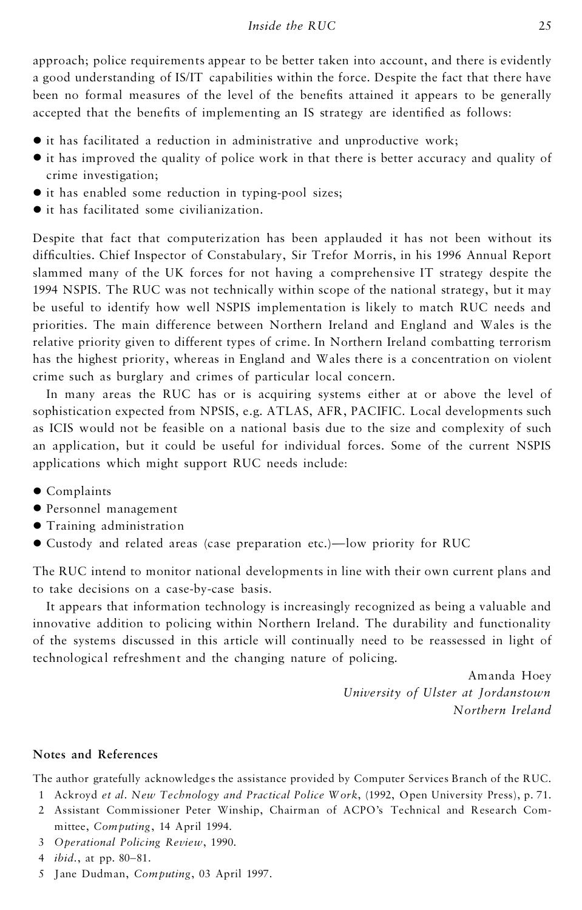approach; police requirements appear to be better taken into account, and there is evidently a good understanding of IS/IT capabilities within the force. Despite the fact that there have been no formal measures of the level of the benefits attained it appears to be generally accepted that the benefits of implementing an IS strategy are identified as follows:

- it has facilitated a reduction in administrative and unproductive work;
- · it has improved the quality of police work in that there is better accuracy and quality of crime investigation;
- it has enabled some reduction in typing-pool sizes:
- $\bullet$  it has facilitated some civilianization.

Despite that fact that computerization has been applauded it has not been without its difficulties. Chief Inspector of Constabulary, Sir Trefor Morris, in his 1996 Annual Report slammed many of the UK forces for not having a comprehensive IT strategy despite the 1994 NSPIS. The RUC was not technically within scope of the national strategy, but it may be useful to identify how well NSPIS implementation is likely to match RUC needs and priorities. The main difference between Northern Ireland and England and Wales is the relative priority given to different types of crime. In Northern Ireland combatting terrorism has the highest priority, whereas in England and Wales there is a concentration on violent crime such as burglary and crimes of particular local concern.

In many areas the RUC has or is acquiring systems either at or above the level of sophistication expected from NPSIS, e.g. ATLAS, AFR, PACIFIC. Local developments such as ICIS would not be feasible on a national basis due to the size and complexity of such an application, but it could be useful for individual forces. Some of the current NSPIS applications which might support RUC needs include:

- · Complaints
- · Personnel management
- 
- Training administration<br>• Custody and related areas (case preparation etc.)—low priority for RUC

The RUC intend to monitor national developments in line with their own current plans and to take decisions on a case-by-case basis.

It appears that information technology is increasingly recognized as being a valuable and innovative addition to policing within Northern Ireland. The durability and functionality of the systems discussed in this article will continually need to be reassessed in light of technological refreshment and the changing nature of policing.

> Amanda Hoey *University of Ulster at Jordanstown Northern Ireland*

### Notes and References

The author gratefully acknowledges the assistance provided by Computer Services Branch of the RUC.

- 1 Ackroyd *et al. New Technology and Practical Police Work*, (1992, Open University Press), p. 71.
- 2 Assistant Commissioner Peter Winship, Chairman of ACPO's Technical and Research Com mittee, *Computing*, 14 April 1994.
- 3 *Operational Policing Review*, 1990.
- 4 *ibid.*, at pp. 80–81.
- 5 Jane Dudman, *Computing*, 03 April 1997.